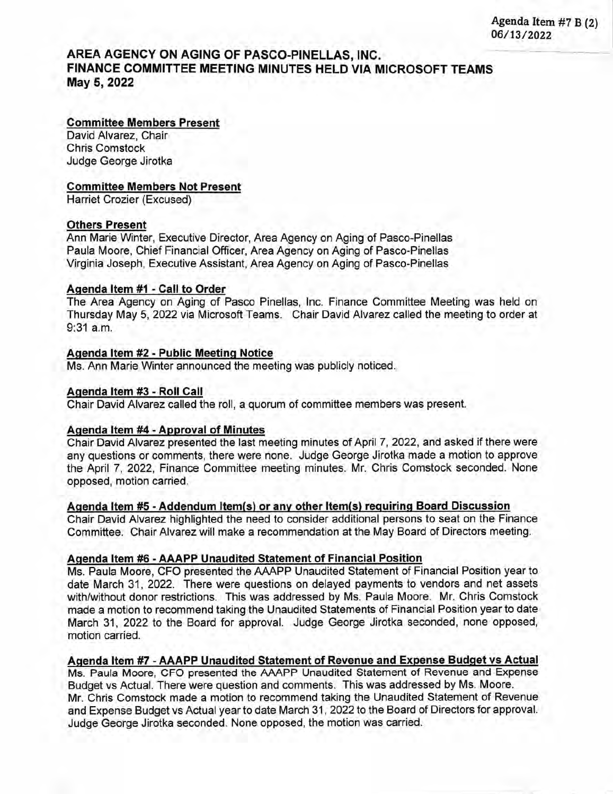# **AREA AGENCY ON AGING OF PASCO-PINELLAS, INC. FINANCE COMMITTEE MEETING MINUTES HELD VIA MICROSOFT TEAMS May 5, 2022**

# **Committee Members Present**

David Alvarez, Chair Chris Comstock Judge George Jirotka

# **Committee Members Not Present**

Harriet Crozier (Excused)

# **Others Present**

Ann Marie Winter, Executive Director, Area Agency on Aging of Pasco-Pinellas Paula Moore, Chief Financial Officer, Area Agency on Aging of Pasco-Pinellas Virginia Joseph, Executive Assistant, Area Agency an Aging of Pasco-Pinellas

## **Agenda Item #1 - Call to Order**

The Area Agency on Aging of Pasco Pinellas, Inc. Finance Committee Meeting was held an Thursday May 5, 2022 via Microsoft Teams. Chair David Alvarez called the meeting to order at 9:31 am.

# **Agenda Item #2 - Public Meeting Notice**

Ms. Ann Marie Winter announced the meeting was publicly noticed.

## **Agenda Item #3 - Roll Call**

Chair David Alvarez called the roll, a quorum of committee members was present.

# **Agenda Item #4 - Approval of Minutes**

Chair David Alvarez presented the last meeting minutes of April 7, 2022, and asked if there were any questions or comments, there were none. Judge George Jirotka made a motion to approve the April 7, 2022, Finance Committee meeting minutes. Mr. Chris Comstock seconded. None opposed, motion carried.

## **Agenda Item #5 - Addendum Item(s) or any other Item(s) requiring Board Discussion**

Chair David Alvarez highlighted the need to consider additional persons to seat an the Finance Committee. Chair Alvarez will make a recommendation at the May Board of Directors meeting.

## **Agenda Item #6 - AAAPP Unaudited Statement of Financial Position**

Ms. Paula Moore, CFO presented the AAAPP Unaudited Statement of Financial Position year to date March 31, 2022. There were questions on delayed payments to vendors and net assets with/without donor restrictions. This was addressed by Ms. Paula Moore. Mr. Chris Comstock made a motion to recommend taking the Unaudited Statements of Financial Position year to date March 31, 2022 to the Board for approval. Judge George Jirotka seconded, none opposed, motion carried.

# **Agenda Item #7 - AAAPP Unaudited Statement of Revenue and Expense Budget vs Actual**

Ms. Paula Moore, CFO presented the AAAPP Unaudited Statement of Revenue and Expense Budget vs Actual. There were question and comments. This was addressed by Ms. Moore. Mr. Chris Comstock made a motion to recommend taking the Unaudited Statement of Revenue and Expense Budget vs Actual year to date March 31, 2022 to the Board of Directors for approval. Judge George Jirotka seconded. None opposed, the motion was carried.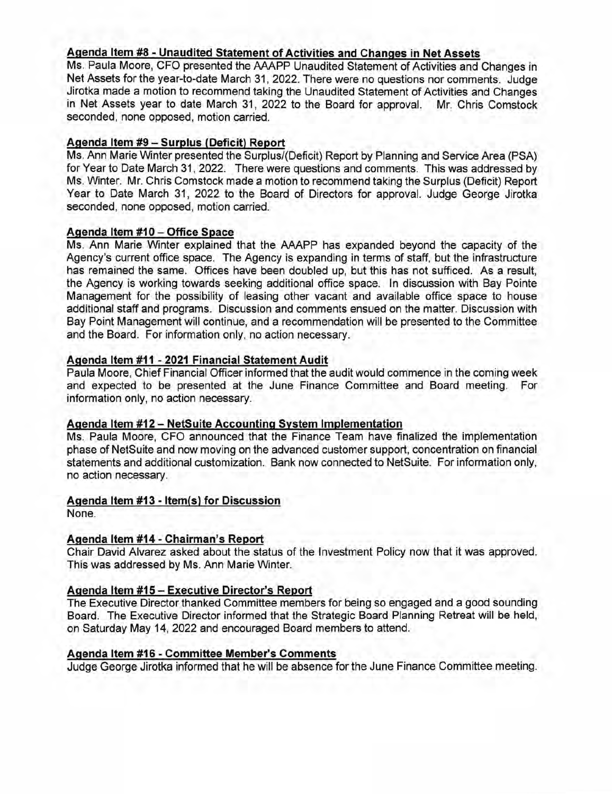## Agenda Item **#8** - **Unaudited Statement of Activities and Chanqes in Net Assets**

Ms. Paula Moore, CFO presented the AAAPP Unaudited Statement of Activities and Changes in Net Assets for the year-to-date March 31, 2022. There were no questions nor comments. Judge Jirotka made a motion to recommend taking the Unaudited Statement of Activities and Changes in Net Assets year to date March 31, 2022 to the Board for approval. Mr. Chris Comstock seconded, none opposed, motion carried.

## **Agenda Item #9 — Surplus (Deficit) Report**

Ms. Ann Marie Winter presented the Surplus/(Deficit) Report by Planning and Service Area (PSA) for Year to Date March 31, 2022. There were questions and comments. This was addressed by Ms. Winter. Mr. Chris Comstock made a motion to recommend taking the Surplus (Deficit) Report Year to Date March 31, 2022 to the Board of Directors for approval. Judge George Jirotka seconded, none opposed, motion carried.

## **Aqenda Item #10 — Office Space**

Ms. Ann Marie Winter explained that the AAAPP has expanded beyond the capacity of the Agency's current office space. The Agency is expanding in terms of staff, but the infrastructure has remained the same. Offices have been doubled up, but this has not sufficed. As a result, the Agency is working towards seeking additional office space. In discussion with Bay Pointe Management for the possibility of leasing other vacant and available office space to house additional staff and programs. Discussion and comments ensued on the matter. Discussion with Bay Point Management will continue, and a recommendation will be presented to the Committee and the Board. For information only, no action necessary.

## **Agenda Item #11 - 2021 Financial Statement Audit**

Paula Moore, Chief Financial Officer informed that the audit would commence in the coming week and expected to be presented at the June Finance Committee and Board meeting. For information only, no action necessary.

## **Agenda Item #12 — NetSuite Accounting System Implementation**

Ms. Paula Moore, CFO announced that the Finance Team have finalized the implementation phase of NetSuite and now moving on the advanced customer support, concentration on financial statements and additional customization. Bank now connected to NetSuite. For information only, no action necessary.

## **Agenda Item #13 - Item(s) for Discussion**

None.

## **Agenda Item #14 - Chairman's Report**

Chair David Alvarez asked about the status of the Investment Policy now that it was approved. This was addressed by Ms. Ann Marie Winter.

## **Agenda Item #15 — Executive Director's Report**

The Executive Director thanked Committee members for being so engaged and a good sounding Board. The Executive Director informed that the Strategic Board Planning Retreat will be held, on Saturday May 14, 2022 and encouraged Board members to attend.

## **Agenda Item #16 - Committee Member's Comments**

Judge George Jirotka informed that he will be absence for the June Finance Committee meeting.